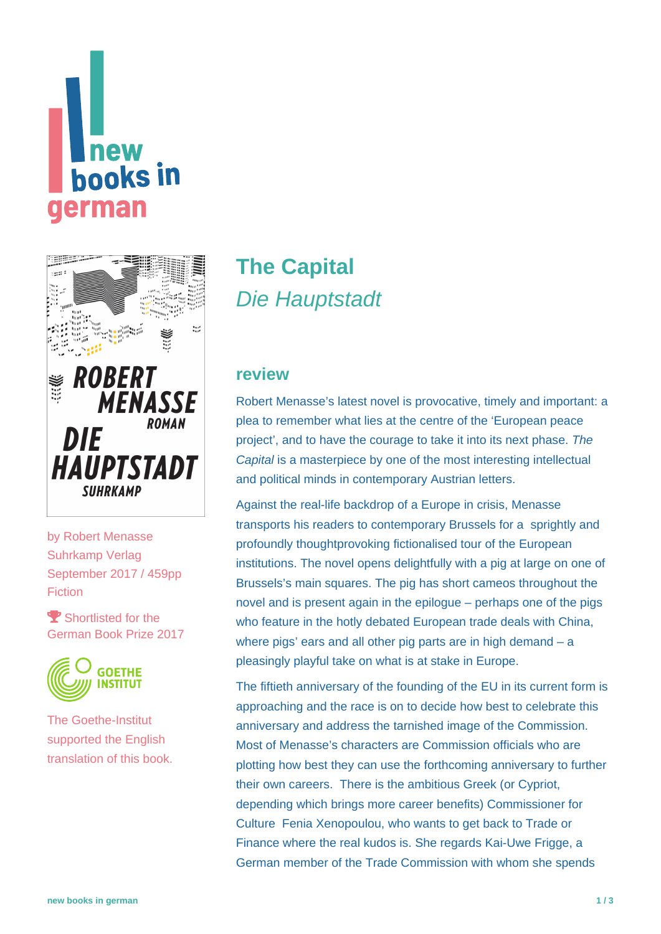# **new hooks** in erman



by [Robert Menasse](https://www.new-books-in-german.com/recommendations/?searchInput=Robert%20Menasse) Suhrkamp Verlag September 2017 / 459pp Fiction

Shortlisted for the German Book Prize 2017



The Goethe-Institut supported the English translation of this book.

# **[The Capital](https://www.new-books-in-german.com/recommendations/the-capital/)** Die Hauptstadt

## **review**

Robert Menasse's latest novel is provocative, timely and important: a plea to remember what lies at the centre of the 'European peace project', and to have the courage to take it into its next phase. The Capital is a masterpiece by one of the most interesting intellectual and political minds in contemporary Austrian letters.

Against the real-life backdrop of a Europe in crisis, Menasse transports his readers to contemporary Brussels for a sprightly and profoundly thoughtprovoking fictionalised tour of the European institutions. The novel opens delightfully with a pig at large on one of Brussels's main squares. The pig has short cameos throughout the novel and is present again in the epilogue – perhaps one of the pigs who feature in the hotly debated European trade deals with China, where pigs' ears and all other pig parts are in high demand – a pleasingly playful take on what is at stake in Europe.

The fiftieth anniversary of the founding of the EU in its current form is approaching and the race is on to decide how best to celebrate this anniversary and address the tarnished image of the Commission. Most of Menasse's characters are Commission officials who are plotting how best they can use the forthcoming anniversary to further their own careers. There is the ambitious Greek (or Cypriot, depending which brings more career benefits) Commissioner for Culture Fenia Xenopoulou, who wants to get back to Trade or Finance where the real kudos is. She regards Kai-Uwe Frigge, a German member of the Trade Commission with whom she spends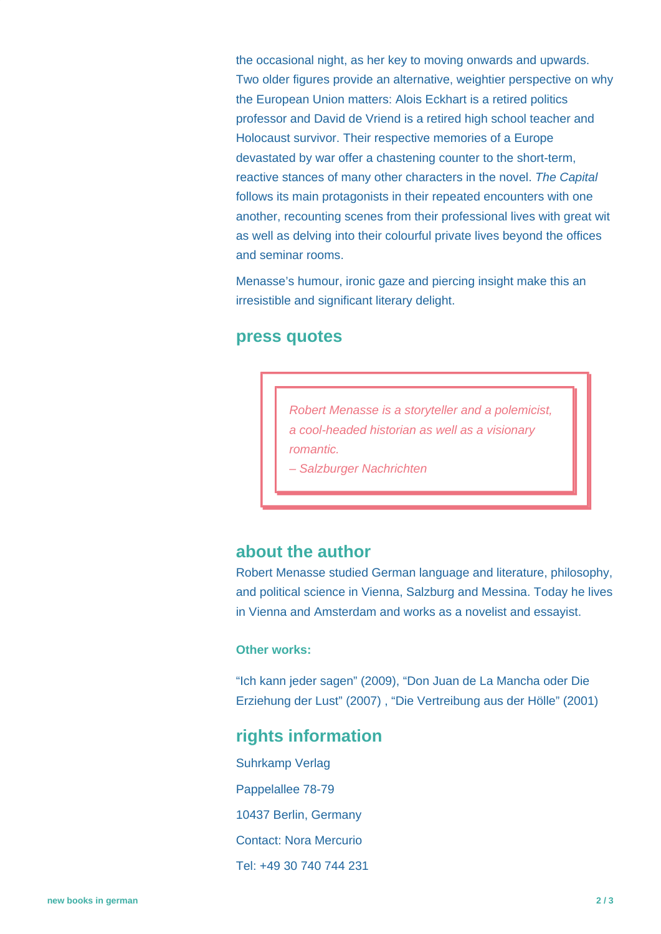the occasional night, as her key to moving onwards and upwards. Two older figures provide an alternative, weightier perspective on why the European Union matters: Alois Eckhart is a retired politics professor and David de Vriend is a retired high school teacher and Holocaust survivor. Their respective memories of a Europe devastated by war offer a chastening counter to the short-term, reactive stances of many other characters in the novel. The Capital follows its main protagonists in their repeated encounters with one another, recounting scenes from their professional lives with great wit as well as delving into their colourful private lives beyond the offices and seminar rooms.

Menasse's humour, ironic gaze and piercing insight make this an irresistible and significant literary delight.

#### **press quotes**

Robert Menasse is a storyteller and a polemicist, a cool-headed historian as well as a visionary romantic.

– Salzburger Nachrichten

### **about the author**

Robert Menasse studied German language and literature, philosophy, and political science in Vienna, Salzburg and Messina. Today he lives in Vienna and Amsterdam and works as a novelist and essayist.

#### **Other works:**

"Ich kann jeder sagen" (2009), "Don Juan de La Mancha oder Die Erziehung der Lust" (2007) , "Die Vertreibung aus der Hölle" (2001)

# **rights information**

Suhrkamp Verlag Pappelallee 78-79 10437 Berlin, Germany Contact: Nora Mercurio Tel: +49 30 740 744 231